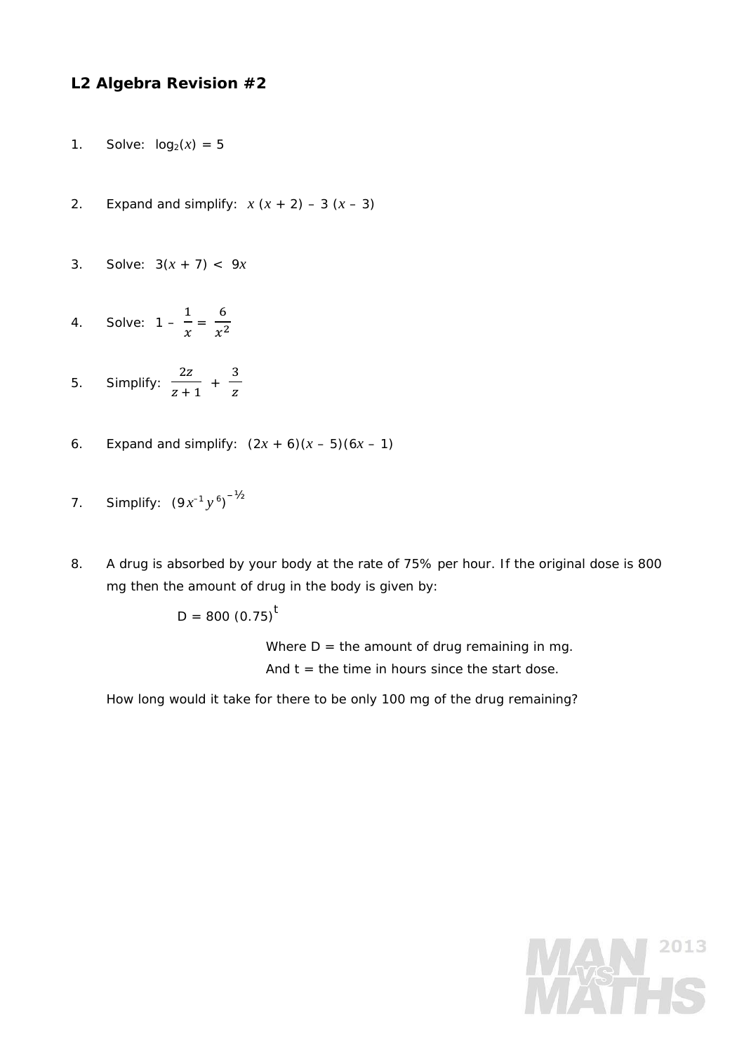## **L2 Algebra Revision #2**

- 1. Solve:  $log_2(x) = 5$
- 2. Expand and simplify:  $x(x + 2) 3(x 3)$
- 3. Solve: 3(*x* + 7) < 9*x*
- 4. Solve: 1  $\mathbf 1$  $\frac{1}{x} = \frac{6}{x^2}$
- 5. Simplify:  $2z$  $\frac{1}{z+1}$  + ଷ z
- 6. Expand and simplify:  $(2x + 6)(x 5)(6x 1)$
- 7. Simplify:  $(9x^{-1}y^{6})^{-1/2}$
- 8. A drug is absorbed by your body at the rate of 75% per hour. If the original dose is 800 mg then the amount of drug in the body is given by:

 $D = 800 (0.75)^t$ 

 Where *D* = the amount of drug remaining in *mg*. And  $t =$  the time in hours since the start dose.

How long would it take for there to be only 100 mg of the drug remaining?